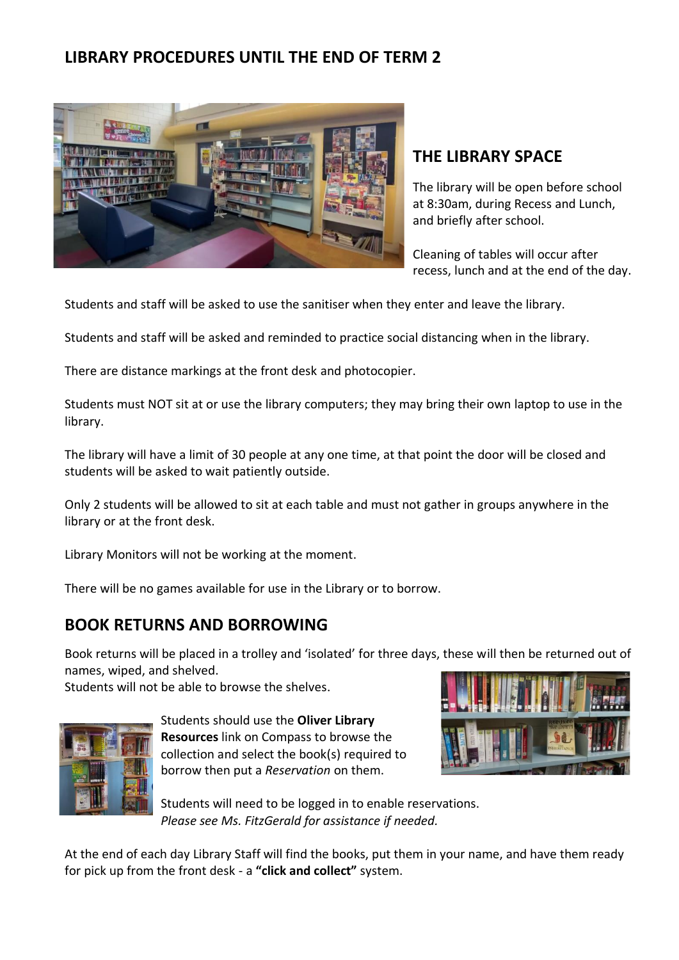# **LIBRARY PROCEDURES UNTIL THE END OF TERM 2**



# **THE LIBRARY SPACE**

The library will be open before school at 8:30am, during Recess and Lunch, and briefly after school.

Cleaning of tables will occur after recess, lunch and at the end of the day.

Students and staff will be asked to use the sanitiser when they enter and leave the library.

Students and staff will be asked and reminded to practice social distancing when in the library.

There are distance markings at the front desk and photocopier.

Students must NOT sit at or use the library computers; they may bring their own laptop to use in the library.

The library will have a limit of 30 people at any one time, at that point the door will be closed and students will be asked to wait patiently outside.

Only 2 students will be allowed to sit at each table and must not gather in groups anywhere in the library or at the front desk.

Library Monitors will not be working at the moment.

There will be no games available for use in the Library or to borrow.

### **BOOK RETURNS AND BORROWING**

Book returns will be placed in a trolley and 'isolated' for three days, these will then be returned out of names, wiped, and shelved.

Students will not be able to browse the shelves.



Students should use the **Oliver Library Resources** link on Compass to browse the collection and select the book(s) required to borrow then put a *Reservation* on them.



Students will need to be logged in to enable reservations. *Please see Ms. FitzGerald for assistance if needed.* 

At the end of each day Library Staff will find the books, put them in your name, and have them ready for pick up from the front desk - a **"click and collect"** system.